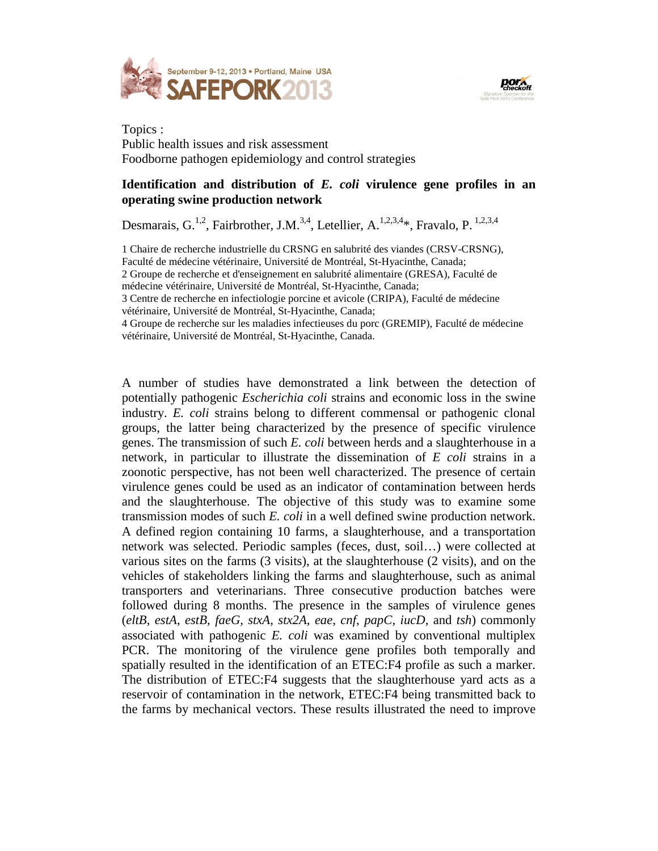



Topics : Public health issues and risk assessment Foodborne pathogen epidemiology and control strategies

## **Identification and distribution of** *E. coli* **virulence gene profiles in an operating swine production network**

Desmarais, G.<sup>1,2</sup>, Fairbrother, J.M.<sup>3,4</sup>, Letellier, A.<sup>1,2,3,4</sup>\*, Fravalo, P.<sup>1,2,3,4</sup>

1 Chaire de recherche industrielle du CRSNG en salubrité des viandes (CRSV-CRSNG),

Faculté de médecine vétérinaire, Université de Montréal, St-Hyacinthe, Canada;

2 Groupe de recherche et d'enseignement en salubrité alimentaire (GRESA), Faculté de

médecine vétérinaire, Université de Montréal, St-Hyacinthe, Canada;

3 Centre de recherche en infectiologie porcine et avicole (CRIPA), Faculté de médecine vétérinaire, Université de Montréal, St-Hyacinthe, Canada;

4 Groupe de recherche sur les maladies infectieuses du porc (GREMIP), Faculté de médecine vétérinaire, Université de Montréal, St-Hyacinthe, Canada.

A number of studies have demonstrated a link between the detection of potentially pathogenic *Escherichia coli* strains and economic loss in the swine industry. *E. coli* strains belong to different commensal or pathogenic clonal groups, the latter being characterized by the presence of specific virulence genes. The transmission of such *E. coli* between herds and a slaughterhouse in a network, in particular to illustrate the dissemination of *E coli* strains in a zoonotic perspective, has not been well characterized. The presence of certain virulence genes could be used as an indicator of contamination between herds and the slaughterhouse. The objective of this study was to examine some transmission modes of such *E. coli* in a well defined swine production network. A defined region containing 10 farms, a slaughterhouse, and a transportation network was selected. Periodic samples (feces, dust, soil…) were collected at various sites on the farms (3 visits), at the slaughterhouse (2 visits), and on the vehicles of stakeholders linking the farms and slaughterhouse, such as animal transporters and veterinarians. Three consecutive production batches were followed during 8 months. The presence in the samples of virulence genes (*eltB, estA, estB, faeG, stxA, stx2A, eae, cnf, papC, iucD,* and *tsh*) commonly associated with pathogenic *E. coli* was examined by conventional multiplex PCR. The monitoring of the virulence gene profiles both temporally and spatially resulted in the identification of an ETEC:F4 profile as such a marker. The distribution of ETEC:F4 suggests that the slaughterhouse yard acts as a reservoir of contamination in the network, ETEC:F4 being transmitted back to the farms by mechanical vectors. These results illustrated the need to improve